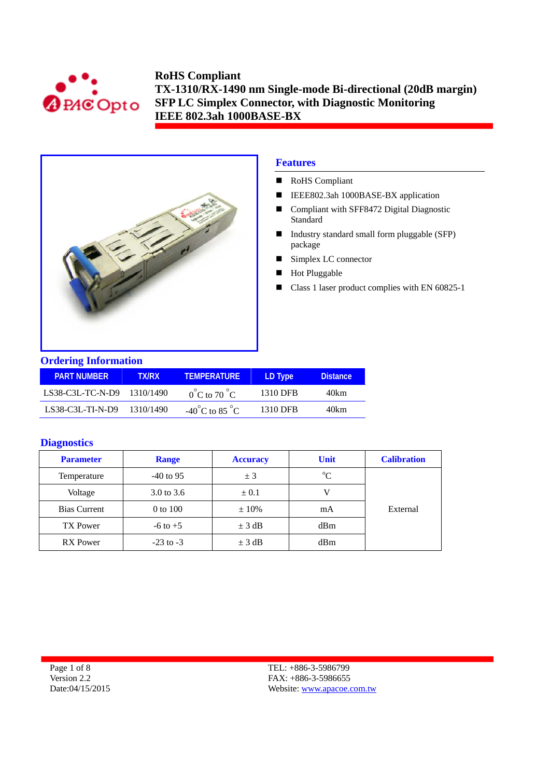



## **Features**

- RoHS Compliant
- IEEE802.3ah 1000BASE-BX application
- Compliant with SFF8472 Digital Diagnostic Standard
- Industry standard small form pluggable (SFP) package
- Simplex LC connector
- **Hot Pluggable**
- Class 1 laser product complies with EN 60825-1

|  | <b>Ordering Information</b> |  |
|--|-----------------------------|--|
|  |                             |  |

| <b>PART NUMBER</b>         | <b>TX/RX</b> | <b>TEMPERATURE</b>                 | LD Type  | <b>Distance</b> |
|----------------------------|--------------|------------------------------------|----------|-----------------|
| LS38-C3L-TC-N-D9 1310/1490 |              | $0^{\circ}$ C to 70 $^{\circ}$ C   | 1310 DFB | 40km            |
| $LS38-C3L-TI-N-D9$         | 1310/1490    | $-40^{\circ}$ C to 85 $^{\circ}$ C | 1310 DFB | 40km            |

#### **Diagnostics**

| <b>Parameter</b>    | <b>Range</b>  | <b>Unit</b><br><b>Accuracy</b> |             | <b>Calibration</b> |
|---------------------|---------------|--------------------------------|-------------|--------------------|
| Temperature         | $-40$ to 95   | ± 3                            | $\rm ^{o}C$ |                    |
| Voltage             | 3.0 to 3.6    | $\pm 0.1$                      |             |                    |
| <b>Bias Current</b> | 0 to 100      | $\pm 10\%$                     | mA          | External           |
| <b>TX Power</b>     | $-6$ to $+5$  | $\pm$ 3 dB                     | dBm         |                    |
| RX Power            | $-23$ to $-3$ | $\pm$ 3 dB                     | dBm         |                    |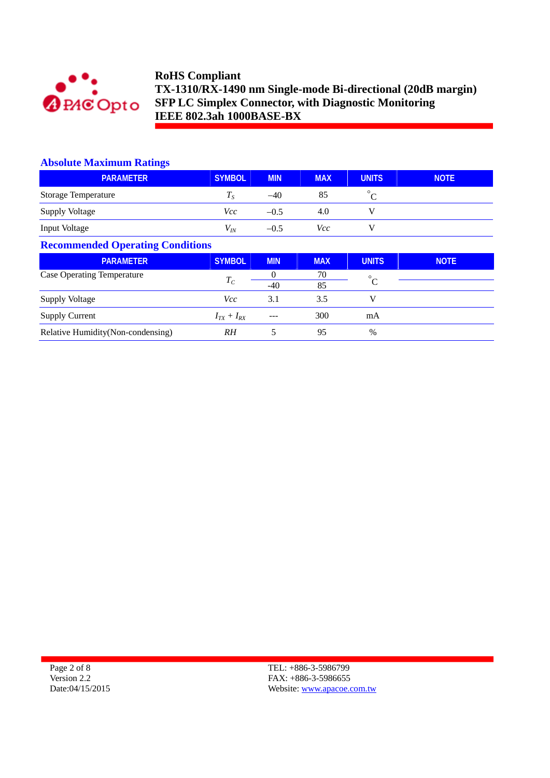

#### **Absolute Maximum Ratings**

| <b>PARAMETER</b>                        | <b>SYMBOL</b>     | <b>MIN</b>        | <b>MAX</b> | <b>UNITS</b> | <b>NOTE</b> |  |
|-----------------------------------------|-------------------|-------------------|------------|--------------|-------------|--|
| Storage Temperature                     | $T_S$             | $-40$             | 85         | $^{\circ}C$  |             |  |
| <b>Supply Voltage</b>                   | <i>Vcc</i>        | $-0.5$            | 4.0        | V            |             |  |
| Input Voltage                           | $V_{I\!N}$        | $-0.5$            | Vcc        | V            |             |  |
| <b>Recommended Operating Conditions</b> |                   |                   |            |              |             |  |
|                                         |                   |                   |            |              |             |  |
| <b>PARAMETER</b>                        | <b>SYMBOL</b>     | <b>MIN</b>        | <b>MAX</b> | <b>UNITS</b> | <b>NOTE</b> |  |
| <b>Case Operating Temperature</b>       | $T_C$             | $\Omega$<br>$-40$ | 70<br>85   | $^{\circ}C$  |             |  |
| Supply Voltage                          | <i>Vcc</i>        | 3.1               | 3.5        | V            |             |  |
| <b>Supply Current</b>                   | $I_{TX} + I_{RX}$ | ---               | 300        | mA           |             |  |

Page 2 of 8 Version 2.2 Date:04/15/2015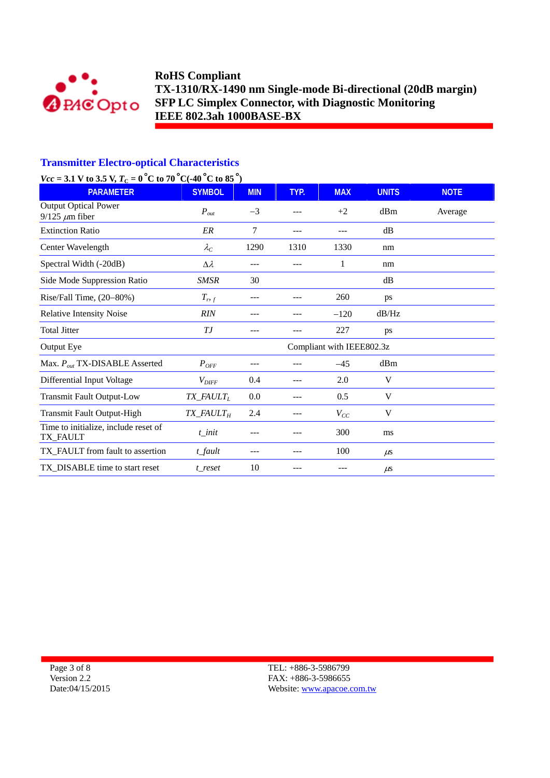

#### **Transmitter Electro-optical Characteristics**

# *Vcc* = 3.1 V to 3.5 V,  $T_c = 0$  °C to 70 °C(-40 °C to 85 °) RARAMETER SYMBOL MIN TYP. MAX UNITS NOTE Output Optical Power  $P_{out}$   $-3$   $-2$   $+2$  dBm Average 9/125  $\mu$ m fiber Extinction Ratio *ER* 7 --- --- dB Center Wavelength  $λ<sub>C</sub>$  1290 1310 1330 nm Spectral Width (-20dB)  $\Delta \lambda$  --- -- 1 nm Side Mode Suppression Ratio *SMSR* 30 dB Rise/Fall Time, (20–80%) *T<sub>rf</sub>* --- -- 260 ps Relative Intensity Noise *RIN* --- -- -- --- -120 dB/Hz Total Jitter **T**J --- -- 227 ps Output Eye Compliant with IEEE802.3z Max. *P<sub>out</sub>* TX-DISABLE Asserted *P*<sub>OFF</sub> --- -- -- -45 dBm Differential Input Voltage *V*<sub>DIFF</sub> 0.4 --- 2.0 V Transmit Fault Output-Low *TX\_FAULT<sub>L</sub>* 0.0 --- 0.5 V Transmit Fault Output-High *TX\_FAULT<sub>H</sub>* 2.4 --- *V<sub>CC</sub>* V Time to initialize, include reset of TX\_FAULT **t**\_init --- -- 300 ms TX\_FAULT from fault to assertion *t\_fault* --- -- -- 100 μs TX\_DISABLE time to start reset *t\_reset* 10 --- --- μs

Page 3 of 8 Version 2.2 Date:04/15/2015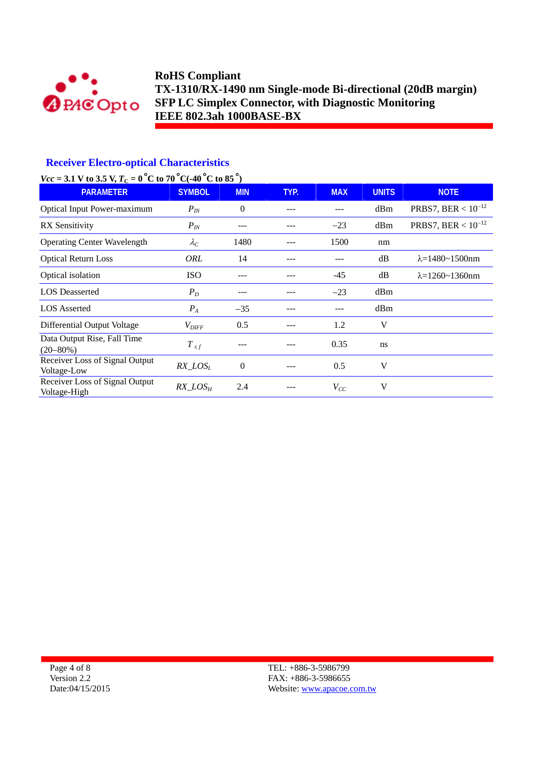

## **Receiver Electro-optical Characteristics**

## *Vcc* = 3.1 V to 3.5 V,  $T_c$  = 0 °C to 70 °C(-40 °C to 85 °)

| <b>PARAMETER</b>                               | <b>SYMBOL</b>       | <b>MIN</b>     | TYP. | <b>MAX</b> | <b>UNITS</b> | <b>NOTE</b>                |
|------------------------------------------------|---------------------|----------------|------|------------|--------------|----------------------------|
| Optical Input Power-maximum                    | $P_{IN}$            | $\theta$       | ---  | ---        | dBm          | PRBS7, BER < $10^{-12}$    |
| <b>RX</b> Sensitivity                          | $P_{IN}$            |                |      | $-23$      | dBm          | PRBS7, BER < $10^{-12}$    |
| <b>Operating Center Wavelength</b>             | $\lambda_C$         | 1480           |      | 1500       | nm           |                            |
| <b>Optical Return Loss</b>                     | ORL                 | 14             |      |            | dB           | $\lambda = 1480 - 1500$ nm |
| Optical isolation                              | <b>ISO</b>          | ---            |      | $-45$      | dB           | $\lambda = 1260 - 1360$ nm |
| <b>LOS</b> Deasserted                          | $P_D$               | ---            |      | $-23$      | dBm          |                            |
| <b>LOS</b> Asserted                            | $P_A$               | $-35$          | ---  | ---        | dBm          |                            |
| Differential Output Voltage                    | $V_{\mathit{DIFF}}$ | 0.5            |      | 1.2        | V            |                            |
| Data Output Rise, Fall Time<br>$(20 - 80\%)$   | $T_{r,f}$           |                |      | 0.35       | ns           |                            |
| Receiver Loss of Signal Output<br>Voltage-Low  | $RX\_LOS_L$         | $\overline{0}$ |      | 0.5        | V            |                            |
| Receiver Loss of Signal Output<br>Voltage-High | $RX\_LOS_H$         | 2.4            |      | $V_{CC}$   | V            |                            |

Page 4 of 8 Version 2.2 Date:04/15/2015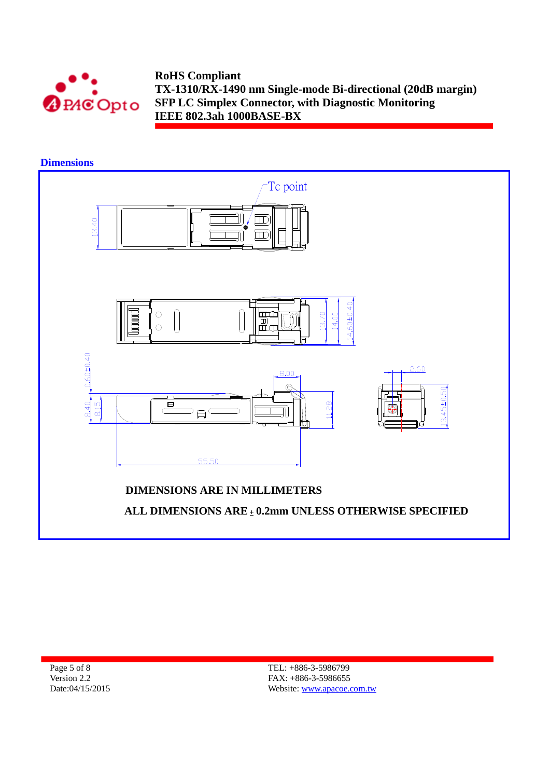

**Dimensions** 



Page 5 of 8 Version 2.2 Date:04/15/2015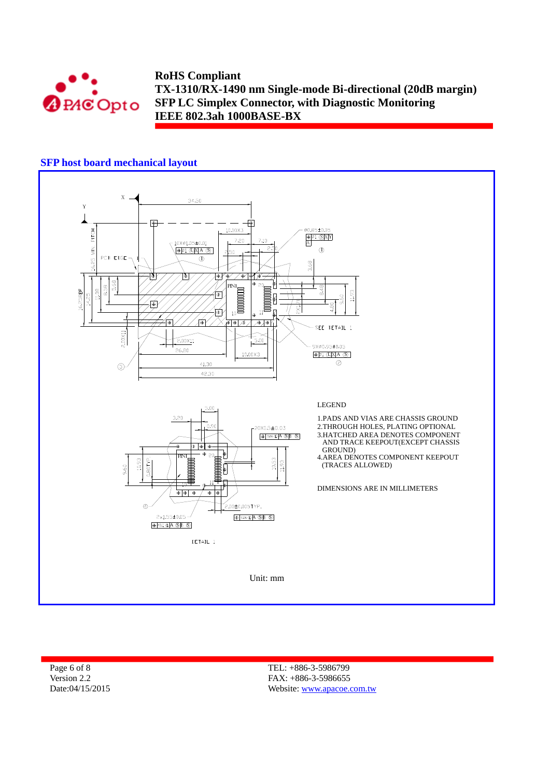

## **SFP host board mechanical layout**



Page 6 of 8 Version 2.2 Date:04/15/2015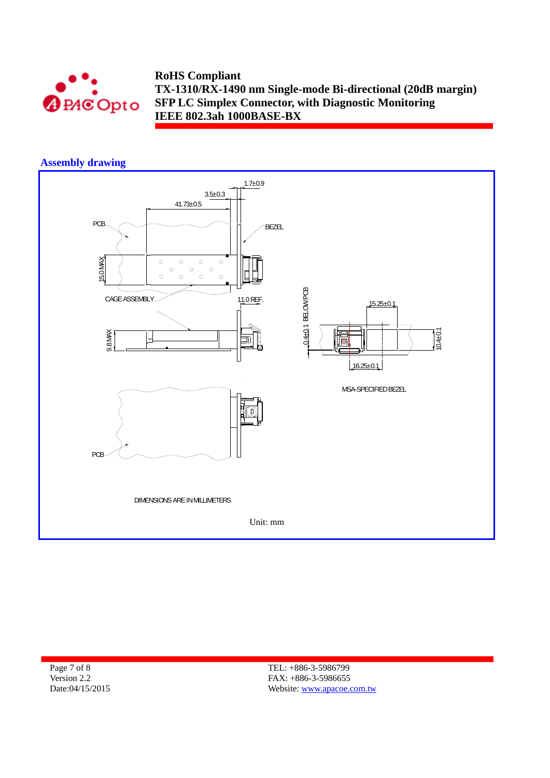

#### **Assembly drawing**



Page 7 of 8 Version 2.2 Date:04/15/2015